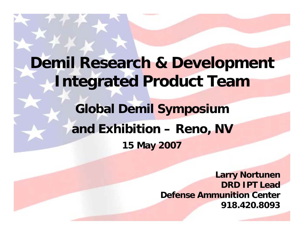## **Demil Research & Development Integrated Product Team**

**UNCLASSIFIED** UNCLASSIFIED

## **Global Demil Symposium and Exhibition – Reno, NV 15 May 2007**

**Larry Nortunen DRD IPT LeadDefense Ammunition Center 918.420.8093**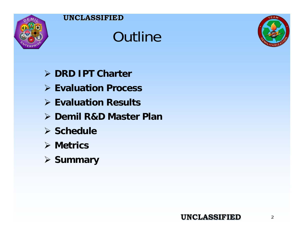

# **Outline**



- ¾ **DRD IPT Charter**
- ¾ **Evaluation Process**
- ¾ **Evaluation Results**
- ¾ **Demil R&D Master Plan**
- ¾ **Schedule**
- ¾ **Metrics**
- ¾ **Summary**

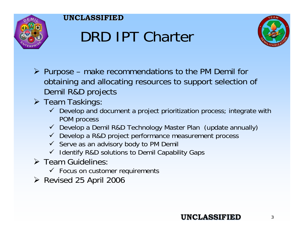

# DRD IPT Charter



- ¾ Purpose make recommendations to the PM Demil for obtaining and allocating resources to support selection of Demil R&D projects
- **≻** Team Taskings
	- $\checkmark$  Develop and document a project prioritization process; integrate with POM process
	- $\checkmark$  Develop a Demil R&D Technology Master Plan (update annually)
	- $\checkmark$  Develop a R&D project performance measurement process
	- $\checkmark$  Serve as an advisory body to PM Demil
	- $\checkmark$  Identify R&D solutions to Demil Capability Gaps
- $\triangleright$  Team Guidelines
	- $\checkmark$  Focus on customer requirements

**UNCLASSIFIED UNCLASSIFIED**

¾ Revised 25 April 2006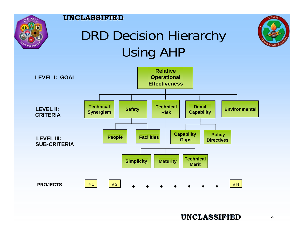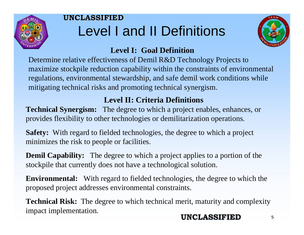

## **UNCLASSIFIED UNCLASSIFIED**Level I and II Definitions



## **Level I: Goal Definition**

Determine relative effectiveness of Demil R&D Technology Projects to maximize stockpile reduction capability within the constraints of environmental regulations, environmental stewardship, and safe demil work conditions while mitigating technical risks and promoting technical synergism.

## **Level II: Criteria Definitions**

**Technical Synergism:** The degree to which a project enables, enhances, or provides flexibility to other technologies or demilitarization operations.

**Safety:** With regard to fielded technologies, the degree to which a project minimizes the risk to people or facilities.

**Demil Capability:** The degree to which a project applies to a portion of the stockpile that currently does not have a technological solution.

**Environmental:** With regard to fielded technologies, the degree to which the proposed project addresses environmental constraints.

**Technical Risk:** The degree to which technical merit, maturity and complexity impact implementation.

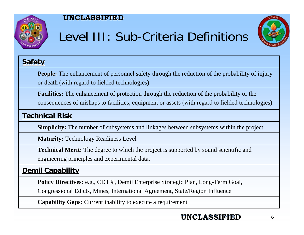

## Level III: Sub-Criteria Definitions



## **Safety**

**People: People:** The enhancement of personnel safety through the reduction of the probability of injury or death (with regard to fielded technologies).

**Facilities: Facilities:**The enhancement of protection through the reduction of the probability or the consequences of mishaps to facilities, equipment or assets (with regard to fielded technologies).

### **Technical Risk Technical Risk**

**Simplicity:** The number of subsystems and linkages between subsystems within the project.

**Maturity: Maturity:** Technology Readiness Level

**Technical Merit:** The degree to which the project is supported by sound scientific and engineering principles and experimental data.

## **Demil Capability Demil Capability**

**Policy Directives:** e.g., CDT%, Demil Enterprise Strategic Plan, Long-Term Goal,

Congressional Edicts, Mines, International Agreement, State/Region Influence

**Capability Gaps: Capability Gaps:** Current inability to execute a requirement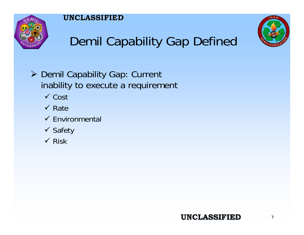



## Demil Capability Gap Defined

- ¾ Demil Capability Gap: Current inability to execute a requirement
	- $\checkmark$  Cost
	- $\checkmark$  Rate
	- $\checkmark$  Environmental
	- ✔ Safety
	- $\checkmark$  Risk

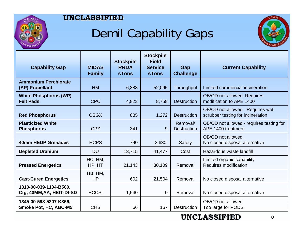

## Demil Capability Gaps



| <b>Capability Gap</b>                               | <b>MIDAS</b><br><b>Family</b> | <b>Stockpile</b><br><b>RRDA</b><br><b>sTons</b> | <b>Stockpile</b><br><b>Field</b><br><b>Service</b><br><b>sTons</b> | Gap<br><b>Challenge</b>        | <b>Current Capability</b>                                             |
|-----------------------------------------------------|-------------------------------|-------------------------------------------------|--------------------------------------------------------------------|--------------------------------|-----------------------------------------------------------------------|
| <b>Ammonium Perchlorate</b><br>(AP) Propellant      | <b>HM</b>                     | 6,383                                           | 52,095                                                             | Throughput                     | Limited commercial incineration                                       |
| <b>White Phosphorus (WP)</b><br><b>Felt Pads</b>    | <b>CPC</b>                    | 4,823                                           | 8,758                                                              | <b>Destruction</b>             | OB/OD not allowed. Requires<br>modification to APE 1400               |
| <b>Red Phosphorus</b>                               | <b>CSGX</b>                   | 885                                             | 1,272                                                              | <b>Destruction</b>             | OB/OD not allowed - Requires wet<br>scrubber testing for incineration |
| <b>Plasticized White</b><br><b>Phosphorus</b>       | <b>CPZ</b>                    | 341                                             | 9                                                                  | Removal/<br><b>Destruction</b> | OB/OD not allowed - requires testing for<br>APE 1400 treatment        |
| 40mm HEDP Grenades                                  | <b>HCPS</b>                   | 790                                             | 2,630                                                              | Safety                         | OB/OD not allowed.<br>No closed disposal alternative                  |
| <b>Depleted Uranium</b>                             | <b>DU</b>                     | 13,715                                          | 41,477                                                             | Cost                           | Hazardous waste landfill                                              |
| <b>Pressed Energetics</b>                           | HC, HM,<br>HP, HT             | 21,143                                          | 30,109                                                             | Removal                        | Limited organic capability<br>Requires modification                   |
| <b>Cast-Cured Energetics</b>                        | HB, HM,<br><b>HP</b>          | 602                                             | 21,504                                                             | Removal                        | No closed disposal alternative                                        |
| 1310-00-039-1104-B560,<br>Ctg, 40MM, AA, HEIT-DI-SD | <b>HCCSI</b>                  | 1,540                                           | $\mathbf 0$                                                        | Removal                        | No closed disposal alternative                                        |
| 1345-00-598-5207-K866,<br>Smoke Pot, HC, ABC-M5     | <b>CHS</b>                    | 66                                              | 167                                                                | <b>Destruction</b>             | OB/OD not allowed.<br>Too large for PODS                              |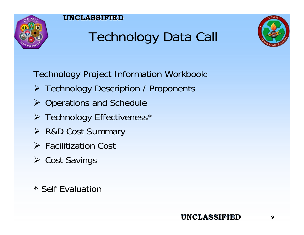

# Technology Data Call



Technology Project Information Workbook:

- ¾ Technology Description / Proponents
- ¾ Operations and Schedule
- ¾ Technology Effectiveness\*
- ¾ R&D Cost Summary
- $\triangleright$  Facilitization Cost
- ¾ Cost Savings
- \* Self Evaluation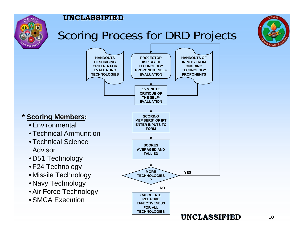

## Scoring Process for DRD Projects



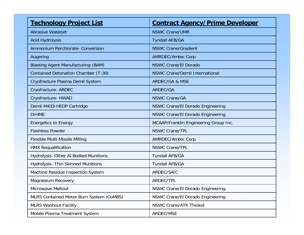| <b>Technology Project List</b>            | <b>Contract Agency/Prime Developer</b>  |
|-------------------------------------------|-----------------------------------------|
| Abrasive Waterjet                         | <b>NSWC Crane/UMR</b>                   |
| <b>Acid Hydrolysis</b>                    | <b>Tyndall AFB/GA</b>                   |
| Ammonium Perchlorate- Conversion          | <b>NSWC Crane/Gradient</b>              |
| Augering                                  | <b>AMRDEC/Amtec Corp</b>                |
| <b>Blasting Agent Manufacturing (BAM)</b> | <b>NSWC Crane/El Dorado</b>             |
| Contained Detonation Chamber (T-30)       | <b>NSWC Crane/Demil International</b>   |
| Cryofracture Plasma Demil System          | <b>ARDEC/GA &amp; MSE</b>               |
| Cryofracture- ARDEC                       | ARDEC/GA                                |
| Cryofracture- HWAD                        | <b>NSWC Crane/GA</b>                    |
| Demil M433-HEDP Cartridge                 | <b>NSWC Crane/El Dorado Engineering</b> |
| <b>DIHME</b>                              | <b>NSWC Crane/El Dorado Engineering</b> |
| <b>Energetics to Energy</b>               | MCAAP/Franklin Engineering Group Inc.   |
| <b>Flashless Powder</b>                   | <b>NSWC Crane/TPL</b>                   |
| <b>Flexible Multi-Missile Milling</b>     | <b>AMRDEC/Amtec Corp</b>                |
| <b>HMX Requalification</b>                | <b>NSWC Crane/TPL</b>                   |
| Hydrolysis- Other Al Bodied Munitions     | <b>Tyndall AFB/GA</b>                   |
| <b>Hydrolysis- Thin Skinned Munitions</b> | <b>Tyndall AFB/GA</b>                   |
| Machine Residue Inspection System         | ARDEC/SAIC                              |
| <b>Magnesium Recovery</b>                 | ARDEC/TPL                               |
| Microwave Meltout                         | NSWC Crane/El Dorado Engineering        |
| MLRS Contained Motor Burn System (CoMBS)  | NSWC Crane/El Dorado Engineering        |
| <b>MLRS Washout Facility</b>              | <b>NSWC Crane/ATK Thiokol</b>           |
| Mobile Plasma Treatment System            | ARDEC/MSE                               |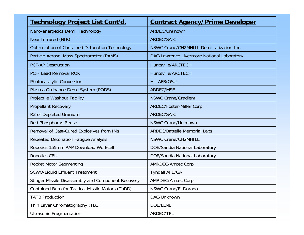| <u>Technology Project List Cont'd.</u>                 | <b>Contract Agency/Prime Developer</b>     |
|--------------------------------------------------------|--------------------------------------------|
| Nano-energetics Demil Technology                       | ARDEC/Unknown                              |
| Near Infrared (NIR)                                    | ARDEC/SAIC                                 |
| <b>Optimization of Contained Detonation Technology</b> | NSWC Crane/CH2MHILL Demilitarization Inc.  |
| Particle Aerosol Mass Spectrometer (PAMS)              | DAC/Lawrence Livermore National Laboratory |
| <b>PCF-AP Destruction</b>                              | Huntsville/ARCTECH                         |
| <b>PCF- Lead Removal ROK</b>                           | Huntsville/ARCTECH                         |
| <b>Photocatalytic Conversion</b>                       | <b>Hill AFB/OSU</b>                        |
| Plasma Ordnance Demil System (PODS)                    | <b>ARDEC/MSE</b>                           |
| Projectile Washout Facility                            | <b>NSWC Crane/Gradient</b>                 |
| <b>Propellant Recovery</b>                             | <b>ARDEC/Foster-Miller Corp</b>            |
| R2 of Depleted Uranium                                 | <b>ARDEC/SAIC</b>                          |
| <b>Red Phosphorus Reuse</b>                            | <b>NSWC Crane/Unknown</b>                  |
| Removal of Cast-Cured Explosives from IMs              | <b>ARDEC/Battelle Memorial Labs</b>        |
| Repeated Detonation Fatigue Analysis                   | <b>NSWC Crane/CH2MHILL</b>                 |
| Robotics 155mm RAP Download Workcell                   | DOE/Sandia National Laboratory             |
| <b>Robotics CBU</b>                                    | DOE/Sandia National Laboratory             |
| <b>Rocket Motor Segmenting</b>                         | <b>AMRDEC/Amtec Corp</b>                   |
| <b>SCWO-Liquid Effluent Treatment</b>                  | <b>Tyndall AFB/GA</b>                      |
| Stinger Missile Disassembly and Component Recovery     | <b>AMRDEC/Amtec Corp</b>                   |
| Contained Burn for Tactical Missile Motors (TaDD)      | <b>NSWC Crane/El Dorado</b>                |
| <b>TATB Production</b>                                 | DAC/Unknown                                |
| Thin Layer Chromatography (TLC)                        | DOE/LLNL                                   |
| <b>Ultrasonic Fragmentation</b>                        | ARDEC/TPL                                  |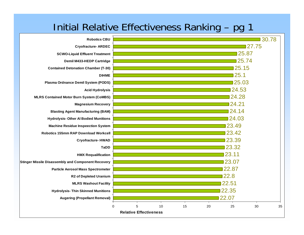## Initial Relative Effectiveness Ranking – pg 1

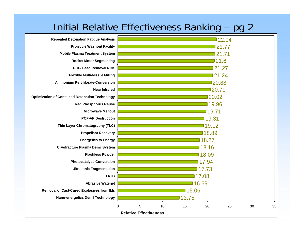## Initial Relative Effectiveness Ranking – pg 2

|                                                        |       | <b>Relative Effectiveness</b> |    |       |       |       |    |    |  |  |  |  |  |
|--------------------------------------------------------|-------|-------------------------------|----|-------|-------|-------|----|----|--|--|--|--|--|
|                                                        | 0     | 5                             | 10 | 15    | 20    | 25    | 30 | 35 |  |  |  |  |  |
| <b>Nano-energetics Demil Technology</b>                |       |                               |    | 13.75 |       |       |    |    |  |  |  |  |  |
| <b>Removal of Cast-Cured Explosives from IMs</b>       | 15.06 |                               |    |       |       |       |    |    |  |  |  |  |  |
| <b>Abrasive Waterjet</b>                               |       |                               |    |       | 16.69 |       |    |    |  |  |  |  |  |
| <b>TATB</b>                                            |       |                               |    |       | 17.08 |       |    |    |  |  |  |  |  |
| <b>Ultrasonic Fragmentation</b>                        |       |                               |    |       | 17.73 |       |    |    |  |  |  |  |  |
| <b>Photocatalytic Conversion</b>                       |       |                               |    |       | 17.94 |       |    |    |  |  |  |  |  |
| <b>Flashless Powder</b>                                |       |                               |    |       | 18.09 |       |    |    |  |  |  |  |  |
| <b>Cryofracture Plasma Demil System</b>                |       |                               |    |       | 18.16 |       |    |    |  |  |  |  |  |
| <b>Energetics to Energy</b>                            |       |                               |    |       | 18.27 |       |    |    |  |  |  |  |  |
| <b>Propellant Recovery</b>                             |       |                               |    |       | 18.89 |       |    |    |  |  |  |  |  |
| Thin Layer Chromatography (TLC)                        |       |                               |    |       | 19.12 |       |    |    |  |  |  |  |  |
| <b>PCF-AP Destruction</b>                              |       |                               |    |       | 19.31 |       |    |    |  |  |  |  |  |
| <b>Microwave Meltout</b>                               |       |                               |    |       | 19.71 |       |    |    |  |  |  |  |  |
| <b>Red Phosphorus Reuse</b>                            |       |                               |    |       | 19.96 |       |    |    |  |  |  |  |  |
| <b>Optimization of Contained Detonation Technology</b> |       |                               |    |       | 20.02 |       |    |    |  |  |  |  |  |
| <b>Near Infrared</b>                                   |       |                               |    |       | 20.71 |       |    |    |  |  |  |  |  |
| <b>Ammonium Perchlorate-Conversion</b>                 |       |                               |    |       | 20.88 |       |    |    |  |  |  |  |  |
| <b>Flexible Multi-Missile Milling</b>                  | 21.24 |                               |    |       |       |       |    |    |  |  |  |  |  |
| <b>PCF-Lead Removal ROK</b>                            |       | 21.27                         |    |       |       |       |    |    |  |  |  |  |  |
| <b>Rocket Motor Segmenting</b>                         |       | 21.6                          |    |       |       |       |    |    |  |  |  |  |  |
| <b>Mobile Plasma Treatment System</b>                  |       |                               |    |       |       | 21.71 |    |    |  |  |  |  |  |
| <b>Projectile Washout Facility</b>                     |       |                               |    |       |       | 21.77 |    |    |  |  |  |  |  |
| <b>Repeated Detonation Fatigue Analysis</b>            |       |                               |    |       |       | 22.04 |    |    |  |  |  |  |  |
|                                                        |       |                               |    |       |       |       |    |    |  |  |  |  |  |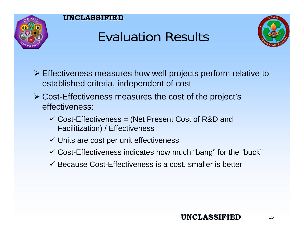

# Evaluation Results



- ¾ Effectiveness measures how well projects perform relative to established criteria, independent of cost
- ¾ Cost-Effectiveness measures the cost of the project's effectiveness:
	- $\checkmark$  Cost-Effectiveness = (Net Present Cost of R&D and Facilitization) / Effectiveness
	- $\checkmark$  Units are cost per unit effectiveness
	- $\checkmark$  Cost-Effectiveness indicates how much "bang" for the "buck"
	- $\checkmark$  Because Cost-Effectiveness is a cost, smaller is better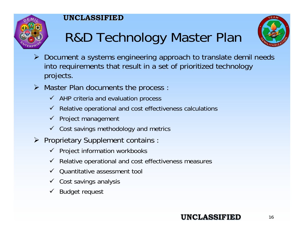



- R&D Technology Master Plan
- ¾ Document a systems engineering approach to translate demil needs into requirements that result in a set of prioritized technology projects.
- **► Master Plan documents the process** 
	- $\checkmark$  AHP criteria and evaluation process
	- $\checkmark$  Relative operational and cost effectiveness calculations
	- $\checkmark$  Project management
	- $\checkmark$  Cost savings methodology and metrics
- **≻** Proprietary Supplement contains
	- $\checkmark$  Project information workbooks
	- $\checkmark$  Relative operational and cost effectiveness measures
	- $\checkmark$ Quantitative assessment tool
	- $\checkmark$  Cost savings analysis
	- $\checkmark$ Budget request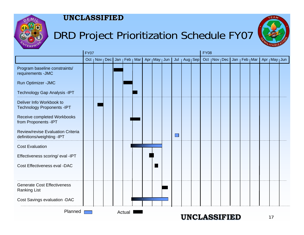

## DRD Project Prioritization Schedule FY07



|                                                                        | <b>FY07</b> |  |                                                     |  |        |  |  |  |  |                            |             | <b>FY08</b> |  |  |  |  |  |                                   |  |                 |  |
|------------------------------------------------------------------------|-------------|--|-----------------------------------------------------|--|--------|--|--|--|--|----------------------------|-------------|-------------|--|--|--|--|--|-----------------------------------|--|-----------------|--|
|                                                                        |             |  | Oct   Nov   Dec   Jan   Feb   Mar   Apr   May   Jun |  |        |  |  |  |  | Jul                        | $ Aug $ Sep |             |  |  |  |  |  | Oct   Nov   Dec   Jan   Feb   Mar |  | Apr   May   Jun |  |
| Program baseline constraints/<br>requirements - JMC                    |             |  |                                                     |  |        |  |  |  |  |                            |             |             |  |  |  |  |  |                                   |  |                 |  |
| Run Optimizer - JMC                                                    |             |  |                                                     |  |        |  |  |  |  |                            |             |             |  |  |  |  |  |                                   |  |                 |  |
| Technology Gap Analysis - IPT                                          |             |  |                                                     |  |        |  |  |  |  |                            |             |             |  |  |  |  |  |                                   |  |                 |  |
| Deliver Info Workbook to<br><b>Technology Proponents -IPT</b>          |             |  |                                                     |  |        |  |  |  |  |                            |             |             |  |  |  |  |  |                                   |  |                 |  |
| Receive completed Workbooks<br>from Proponents -IPT                    |             |  |                                                     |  |        |  |  |  |  |                            |             |             |  |  |  |  |  |                                   |  |                 |  |
| <b>Review/revise Evaluation Criteria</b><br>definitions/weighting -IPT |             |  |                                                     |  |        |  |  |  |  | $\mathcal{O}(\mathcal{A})$ |             |             |  |  |  |  |  |                                   |  |                 |  |
| <b>Cost Evaluation</b>                                                 |             |  |                                                     |  |        |  |  |  |  |                            |             |             |  |  |  |  |  |                                   |  |                 |  |
| Effectiveness scoring/ eval -IPT                                       |             |  |                                                     |  |        |  |  |  |  |                            |             |             |  |  |  |  |  |                                   |  |                 |  |
| Cost Effectiveness eval -DAC                                           |             |  |                                                     |  |        |  |  |  |  |                            |             |             |  |  |  |  |  |                                   |  |                 |  |
| <b>Generate Cost Effectiveness</b><br><b>Ranking List</b>              |             |  |                                                     |  |        |  |  |  |  |                            |             |             |  |  |  |  |  |                                   |  |                 |  |
| Cost Savings evaluation -DAC                                           |             |  |                                                     |  |        |  |  |  |  |                            |             |             |  |  |  |  |  |                                   |  |                 |  |
| Planned                                                                |             |  |                                                     |  | Actual |  |  |  |  |                            |             |             |  |  |  |  |  |                                   |  |                 |  |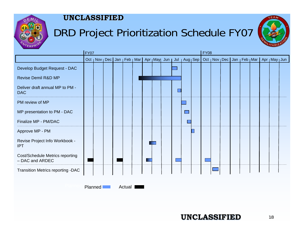

## DRD Project Prioritization Schedule FY07



|                                                    | <b>FY07</b> |  |  |  |  |   |  |                                                                      |  |  |  |  |  | <b>FY08</b> |  |  |                                                   |  |  |  |  |  |  |
|----------------------------------------------------|-------------|--|--|--|--|---|--|----------------------------------------------------------------------|--|--|--|--|--|-------------|--|--|---------------------------------------------------|--|--|--|--|--|--|
|                                                    |             |  |  |  |  |   |  | Oct   Nov   Dec   Jan   Feb   Mar   Apr   May  Jun   Jul   Aug   Sep |  |  |  |  |  |             |  |  | Oct   Nov   Dec Jan   Feb   Mar   Apr   May   Jun |  |  |  |  |  |  |
| Develop Budget Request - DAC                       |             |  |  |  |  |   |  |                                                                      |  |  |  |  |  |             |  |  |                                                   |  |  |  |  |  |  |
| <b>Revise Demil R&amp;D MP</b>                     |             |  |  |  |  |   |  |                                                                      |  |  |  |  |  |             |  |  |                                                   |  |  |  |  |  |  |
| Deliver draft annual MP to PM -<br><b>DAC</b>      |             |  |  |  |  |   |  |                                                                      |  |  |  |  |  |             |  |  |                                                   |  |  |  |  |  |  |
| PM review of MP                                    |             |  |  |  |  |   |  |                                                                      |  |  |  |  |  |             |  |  |                                                   |  |  |  |  |  |  |
| MP presentation to PM - DAC                        |             |  |  |  |  |   |  |                                                                      |  |  |  |  |  |             |  |  |                                                   |  |  |  |  |  |  |
| Finalize MP - PM/DAC                               |             |  |  |  |  |   |  |                                                                      |  |  |  |  |  |             |  |  |                                                   |  |  |  |  |  |  |
| Approve MP - PM                                    |             |  |  |  |  |   |  |                                                                      |  |  |  |  |  |             |  |  |                                                   |  |  |  |  |  |  |
| Revise Project Info Workbook -<br><b>IPT</b>       |             |  |  |  |  |   |  |                                                                      |  |  |  |  |  |             |  |  |                                                   |  |  |  |  |  |  |
| Cost/Schedule Metrics reporting<br>- DAC and ARDEC |             |  |  |  |  | ٠ |  |                                                                      |  |  |  |  |  |             |  |  |                                                   |  |  |  |  |  |  |
| Transition Metrics reporting -DAC                  |             |  |  |  |  |   |  |                                                                      |  |  |  |  |  |             |  |  |                                                   |  |  |  |  |  |  |
|                                                    |             |  |  |  |  |   |  |                                                                      |  |  |  |  |  |             |  |  |                                                   |  |  |  |  |  |  |

Planned

**Actual**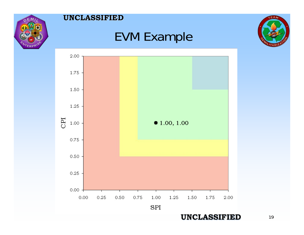

## EVM Example



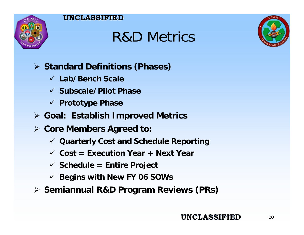

# R&D Metrics



## ¾ **Standard Definitions (Phases)**

- 9 **Lab/Bench Scale**
- 9 **Subscale/Pilot Phase**
- 9 **Prototype Phase**
- ¾ **Goal: Establish Improved Metrics**
- ¾ **Core Members Agreed to:**
	- 9 **Quarterly Cost and Schedule Reporting**
	- 9 **Cost = Execution Year + Next Year**
	- 9 **Schedule = Entire Project**
	- 9 **Begins with New FY 06 SOWs**
- ¾ **Semiannual R&D Program Reviews (PRs)**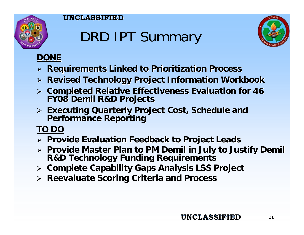

# DRD IPT Summary



## **DONE**

- ¾ **Requirements Linked to Prioritization Process Requirements Linked to Prioritization Process**
- ¾ **Revised Technology Project Information Workbook Revised Technology Project Information Workbook**
- ¾ **Completed Relative Effectiveness Evaluation for 46 Completed Relative Effectiveness Evaluation for 46 FY08 Demil R&D Projects FY08 Demil R&D Projects**
- ¾ **Executing Quarterly Project Cost, Schedule and Executing Quarterly Project Cost, Schedule and Performance Reporting Performance Reporting**

## **TO DO**

- ¾ **Provide Evaluation Feedback to Project Leads Provide Evaluation Feedback to Project Leads**
- ¾ **Provide Master Plan to PM Demil in July to Justify Demil Provide Master Plan to PM Demil in July to Justify Demil R&D Technology Funding Requirements R&D Technology Funding Requirements**
- ¾ **Complete Capability Gaps Analysis LSS Project Complete Capability Gaps Analysis LSS Project**
- ¾ **Reevaluat Reevaluate Scoring Criteria and Process e Scoring Criteria and Process**